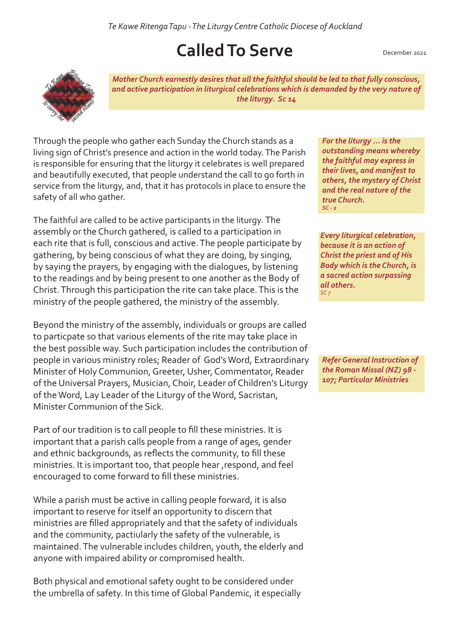*Te Kawe Ritenga Tapu - The Liturgy Centre Catholic Diocese of Auckland* 

## **Called To Serve**

December 2021



*Mother Church earnestly desires that all the faithful should be led to that fully conscious, and active participation in liturgical celebrations which is demanded by the very nature of the liturgy. Sc 14*

Through the people who gather each Sunday the Church stands as a living sign of Christ's presence and action in the world today. The Parish is responsible for ensuring that the liturgy it celebrates is well prepared and beautifully executed, that people understand the call to go forth in service from the liturgy, and, that it has protocols in place to ensure the safety of all who gather.

The faithful are called to be active participants in the liturgy. The assembly or the Church gathered, is called to a participation in each rite that is full, conscious and active. The people participate by gathering, by being conscious of what they are doing, by singing, by saying the prayers, by engaging with the dialogues, by listening to the readings and by being present to one another as the Body of Christ. Through this participation the rite can take place. This is the ministry of the people gathered, the ministry of the assembly.

Beyond the ministry of the assembly, individuals or groups are called to particpate so that various elements of the rite may take place in the best possible way. Such participation includes the contribution of people in various ministry roles; Reader of God's Word, Extraordinary Minister of Holy Communion, Greeter, Usher, Commentator, Reader of the Universal Prayers, Musician, Choir, Leader of Children's Liturgy of the Word, Lay Leader of the Liturgy of the Word, Sacristan, Minister Communion of the Sick.

Part of our tradition is to call people to fill these ministries. It is important that a parish calls people from a range of ages, gender and ethnic backgrounds, as reflects the community, to fill these ministries. It is important too, that people hear ,respond, and feel encouraged to come forward to fill these ministries.

While a parish must be active in calling people forward, it is also important to reserve for itself an opportunity to discern that ministries are filled appropriately and that the safety of individuals and the community, pactiularly the safety of the vulnerable, is maintained. The vulnerable includes children, youth, the elderly and anyone with impaired ability or compromised health.

Both physical and emotional safety ought to be considered under the umbrella of safety. In this time of Global Pandemic, it especially *For the liturgy ... is the outstanding means whereby the faithful may express in their lives, and manifest to others, the mystery of Christ and the real nature of the true Church. SC - 2*

*Every liturgical celebration, because it is an action of Christ the priest and of His Body which is the Church, is a sacred action surpassing all others. SC 7*

*Refer General Instruction of the Roman Missal (NZ) 98 - 107; Particular Ministries*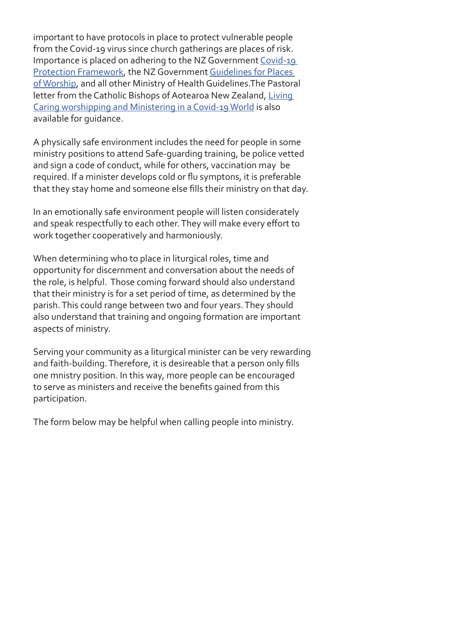important to have protocols in place to protect vulnerable people from the Covid-19 virus since church gatherings are places of risk. Importance is placed on adhering to the NZ Government Covid-19 Protection Framework, the NZ Government Guidelines for Places of Worship, and all other Ministry of Health Guidelines.The Pastoral letter from the Catholic Bishops of Aotearoa New Zealand, Living Caring worshipping and Ministering in a Covid-19 World is also available for guidance.

A physically safe environment includes the need for people in some ministry positions to attend Safe-guarding training, be police vetted and sign a code of conduct, while for others, vaccination may be required. If a minister develops cold or flu symptons, it is preferable that they stay home and someone else fills their ministry on that day.

In an emotionally safe environment people will listen considerately and speak respectfully to each other. They will make every effort to work together cooperatively and harmoniously.

When determining who to place in liturgical roles, time and opportunity for discernment and conversation about the needs of the role, is helpful. Those coming forward should also understand that their ministry is for a set period of time, as determined by the parish. This could range between two and four years. They should also understand that training and ongoing formation are important aspects of ministry.

Serving your community as a liturgical minister can be very rewarding and faith-building. Therefore, it is desireable that a person only fills one mnistry position. In this way, more people can be encouraged to serve as ministers and receive the benefits gained from this participation.

The form below may be helpful when calling people into ministry.